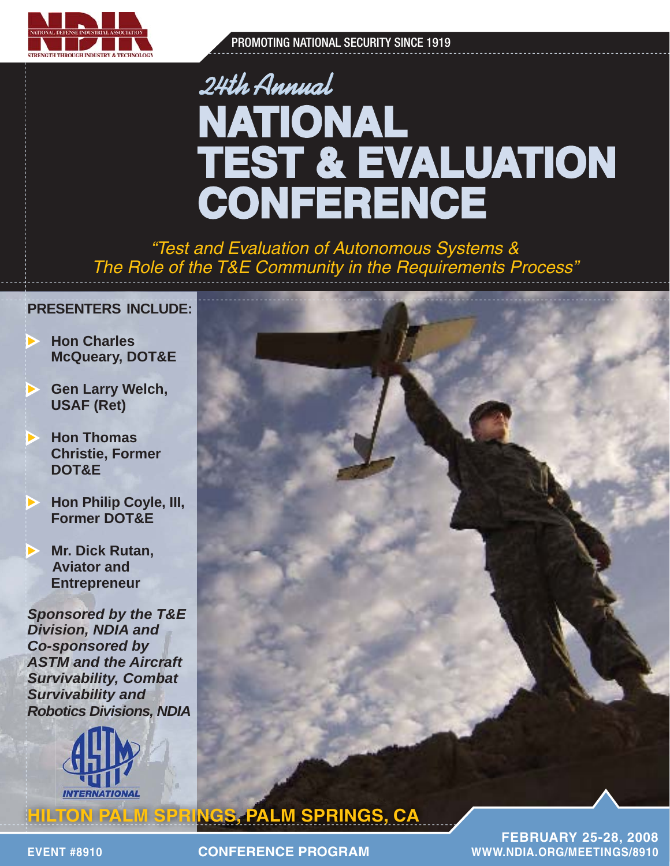

PROMOTING NATIONAL SECURITY SINCE 1919

# 24th Annual **NATIONAL ATIONAL TEST & EVALUATION CONFERENCE ONFERENCE**

*"Test and Evaluation of Autonomous Systems & The Role of the T&E Community in the Requirements Process"* 

### **PRESENTERS INCLUDE:**

- **K** Hon Charles  **McQueary, DOT&E**
- **Sen Larry Welch, USAF (Ret)**
- **Example 7 Hon Thomas Christie, Former DOT&E**
- $\blacktriangleright$  **Hon Philip Coyle, III, Former DOT&E**
- $\blacktriangleright$  . **Mr. Dick Rutan, Aviator and Entrepreneur**

*Sponsored by the T&E Division, NDIA and Co-sponsored by ASTM and the Aircraft Survivability, Combat Survivability and Robotics Divisions, NDIA*



**CONFERENCE PROGRAM ONFERENCE** 

**FEBRUARY 25-28, 2008 EBRUARY EVENT #8910 WWW.NDIA.OR WWW.NDIA.ORG/MEETINGS/8910 G/MEETINGS/8910**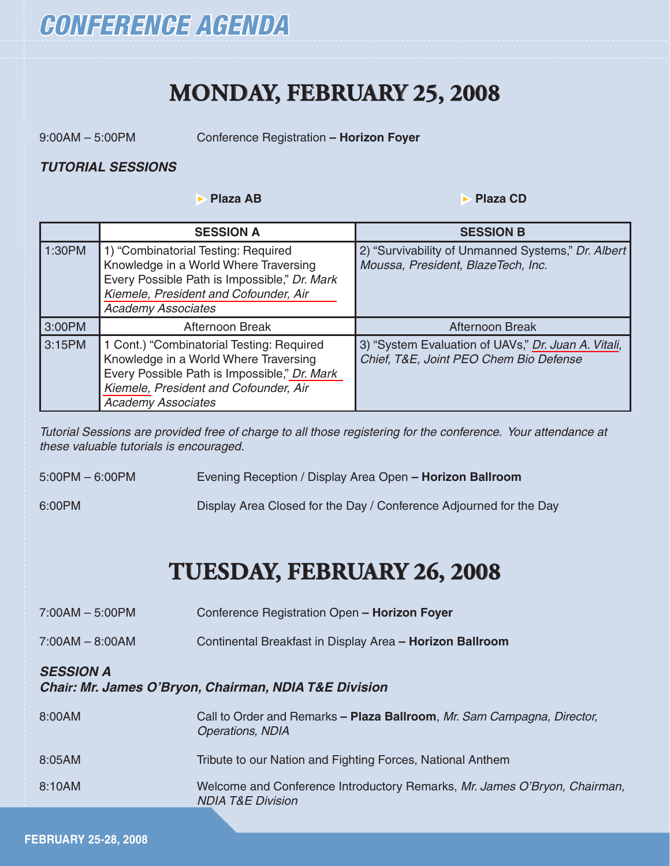

## **MONDAY, FEBRUARY 25, 2008**

9:00AM – 5:00PM Conference Registration **– Horizon Foyer**

#### *TUTORIAL SESSIONS UTORIAL*

 $▶$  **Plaza AB**  $\rightarrow$  Plaza CD

|        | <b>SESSION A</b>                                                                                                                                                                                         | <b>SESSION B</b>                                                                              |
|--------|----------------------------------------------------------------------------------------------------------------------------------------------------------------------------------------------------------|-----------------------------------------------------------------------------------------------|
| 1:30PM | 1) "Combinatorial Testing: Required<br>Knowledge in a World Where Traversing<br>Every Possible Path is Impossible," Dr. Mark<br>Kiemele, President and Cofounder, Air<br><b>Academy Associates</b>       | 2) "Survivability of Unmanned Systems," Dr. Albert<br>Moussa, President, BlazeTech, Inc.      |
| 3:00PM | Afternoon Break                                                                                                                                                                                          | Afternoon Break                                                                               |
| 3:15PM | 1 Cont.) "Combinatorial Testing: Required<br>Knowledge in a World Where Traversing<br>Every Possible Path is Impossible," Dr. Mark<br>Kiemele, President and Cofounder, Air<br><b>Academy Associates</b> | 3) "System Evaluation of UAVs," Dr. Juan A. Vitali,<br>Chief, T&E, Joint PEO Chem Bio Defense |

*Tutorial Sessions are provided free of charge to all those registering for the conference. Your attendance at these valuable tutorials is encouraged.* 

5:00PM – 6:00PM Evening Reception / Display Area Open **– Horizon Ballroom**

6:00PM Display Area Closed for the Day / Conference Adjourned for the Day

## **TUESDAY, FEBRUARY 26, 2008**

| $7:00AM - 5:00PM$ | Conference Registration Open - Horizon Foyer                                                              |
|-------------------|-----------------------------------------------------------------------------------------------------------|
| $7:00AM - 8:00AM$ | Continental Breakfast in Display Area - Horizon Ballroom                                                  |
| <b>SESSION A</b>  | <b>Chair: Mr. James O'Bryon, Chairman, NDIA T&amp;E Division</b>                                          |
| 8:00AM            | Call to Order and Remarks - Plaza Ballroom, Mr. Sam Campagna, Director,<br><b>Operations, NDIA</b>        |
| 8:05AM            | Tribute to our Nation and Fighting Forces, National Anthem                                                |
| 8:10AM            | Welcome and Conference Introductory Remarks, Mr. James O'Bryon, Chairman,<br><b>NDIA T&amp;E Division</b> |
|                   |                                                                                                           |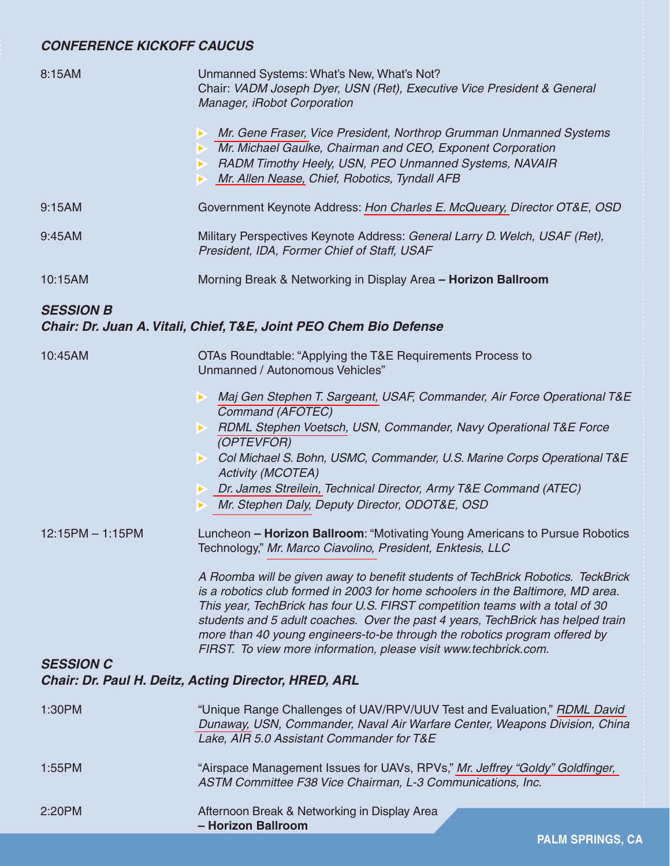## **CONFERENCE KICKOFF CAUCUS**

| 8:15AM             | Unmanned Systems: What's New, What's Not?<br>Chair: VADM Joseph Dyer, USN (Ret), Executive Vice President & General<br>Manager, iRobot Corporation                                                                                                                                                                                                                                                                                                                                        |  |  |
|--------------------|-------------------------------------------------------------------------------------------------------------------------------------------------------------------------------------------------------------------------------------------------------------------------------------------------------------------------------------------------------------------------------------------------------------------------------------------------------------------------------------------|--|--|
|                    | Mr. Gene Fraser, Vice President, Northrop Grumman Unmanned Systems<br>▶<br>Mr. Michael Gaulke, Chairman and CEO, Exponent Corporation<br>RADM Timothy Heely, USN, PEO Unmanned Systems, NAVAIR<br>Mr. Allen Nease, Chief, Robotics, Tyndall AFB<br>×                                                                                                                                                                                                                                      |  |  |
| 9:15AM             | Government Keynote Address: Hon Charles E. McQueary, Director OT&E, OSD                                                                                                                                                                                                                                                                                                                                                                                                                   |  |  |
| 9:45AM             | Military Perspectives Keynote Address: General Larry D. Welch, USAF (Ret),<br>President, IDA, Former Chief of Staff, USAF                                                                                                                                                                                                                                                                                                                                                                 |  |  |
| 10:15AM            | Morning Break & Networking in Display Area - Horizon Ballroom                                                                                                                                                                                                                                                                                                                                                                                                                             |  |  |
| <b>SESSION B</b>   | Chair: Dr. Juan A. Vitali, Chief, T&E, Joint PEO Chem Bio Defense                                                                                                                                                                                                                                                                                                                                                                                                                         |  |  |
| 10:45AM            | OTAs Roundtable: "Applying the T&E Requirements Process to<br>Unmanned / Autonomous Vehicles"                                                                                                                                                                                                                                                                                                                                                                                             |  |  |
|                    | Maj Gen Stephen T. Sargeant, USAF, Commander, Air Force Operational T&E<br>Command (AFOTEC)<br>RDML Stephen Voetsch, USN, Commander, Navy Operational T&E Force<br>(OPTEVFOR)<br>Col Michael S. Bohn, USMC, Commander, U.S. Marine Corps Operational T&E<br>$\blacktriangleright$ .<br><b>Activity (MCOTEA)</b><br>> Dr. James Streilein, Technical Director, Army T&E Command (ATEC)<br>Mr. Stephen Daly, Deputy Director, ODOT&E, OSD<br>▶                                              |  |  |
| $12:15PM - 1:15PM$ | Luncheon - Horizon Ballroom: "Motivating Young Americans to Pursue Robotics<br>Technology," Mr. Marco Ciavolino, President, Enktesis, LLC                                                                                                                                                                                                                                                                                                                                                 |  |  |
|                    | A Roomba will be given away to benefit students of TechBrick Robotics. TeckBrick<br>is a robotics club formed in 2003 for home schoolers in the Baltimore, MD area.<br>This year, TechBrick has four U.S. FIRST competition teams with a total of 30<br>students and 5 adult coaches. Over the past 4 years, TechBrick has helped train<br>more than 40 young engineers-to-be through the robotics program offered by<br>FIRST. To view more information, please visit www.techbrick.com. |  |  |
| <b>SESSION C</b>   | <b>Chair: Dr. Paul H. Deitz, Acting Director, HRED, ARL</b>                                                                                                                                                                                                                                                                                                                                                                                                                               |  |  |
| 1:30PM             | "Unique Range Challenges of UAV/RPV/UUV Test and Evaluation," RDML David<br>Dunaway, USN, Commander, Naval Air Warfare Center, Weapons Division, China<br>Lake, AIR 5.0 Assistant Commander for T&E                                                                                                                                                                                                                                                                                       |  |  |
| 1:55PM             | "Airspace Management Issues for UAVs, RPVs," Mr. Jeffrey "Goldy" Goldfinger,<br>ASTM Committee F38 Vice Chairman, L-3 Communications, Inc.                                                                                                                                                                                                                                                                                                                                                |  |  |
| 2:20PM             | Afternoon Break & Networking in Display Area<br>- Horizon Ballroom                                                                                                                                                                                                                                                                                                                                                                                                                        |  |  |

**PALM SPRINGS, CA**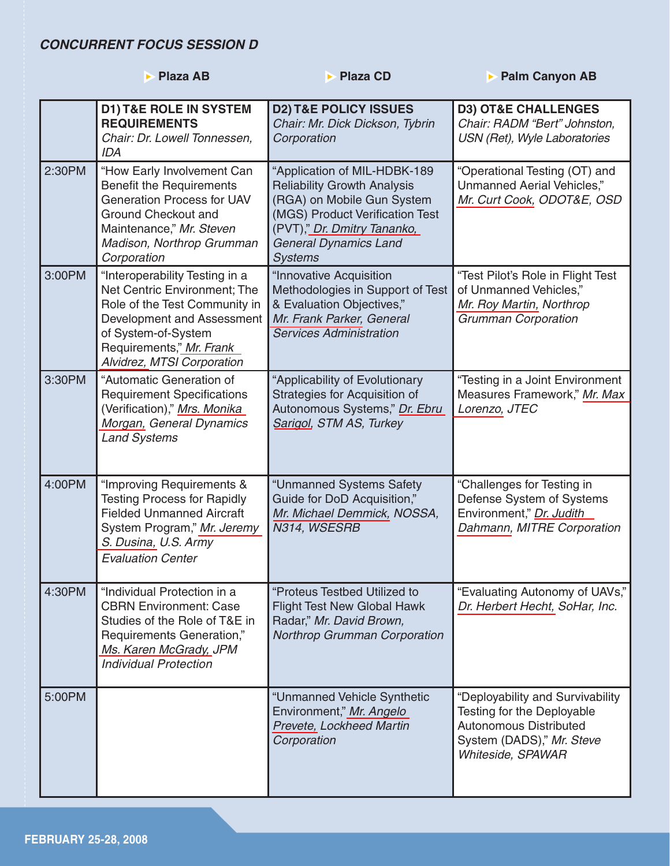### **CONCURRENT FOCUS SESSION D**

|        | <b>Plaza AB</b>                                                                                                                                                                                                | <b>Plaza CD</b>                                                                                                                                                                                                      | <b>Palm Canyon AB</b>                                                                                                                             |
|--------|----------------------------------------------------------------------------------------------------------------------------------------------------------------------------------------------------------------|----------------------------------------------------------------------------------------------------------------------------------------------------------------------------------------------------------------------|---------------------------------------------------------------------------------------------------------------------------------------------------|
|        | <b>D1) T&amp;E ROLE IN SYSTEM</b><br><b>REQUIREMENTS</b><br>Chair: Dr. Lowell Tonnessen,<br><b>IDA</b>                                                                                                         | <b>D2) T&amp;E POLICY ISSUES</b><br>Chair: Mr. Dick Dickson, Tybrin<br>Corporation                                                                                                                                   | <b>D3) OT&amp;E CHALLENGES</b><br>Chair: RADM "Bert" Johnston,<br>USN (Ret), Wyle Laboratories                                                    |
| 2:30PM | "How Early Involvement Can<br><b>Benefit the Requirements</b><br><b>Generation Process for UAV</b><br>Ground Checkout and<br>Maintenance," Mr. Steven<br>Madison, Northrop Grumman<br>Corporation              | "Application of MIL-HDBK-189<br><b>Reliability Growth Analysis</b><br>(RGA) on Mobile Gun System<br>(MGS) Product Verification Test<br>(PVT)," Dr. Dmitry Tananko,<br><b>General Dynamics Land</b><br><b>Systems</b> | "Operational Testing (OT) and<br>Unmanned Aerial Vehicles,"<br>Mr. Curt Cook, ODOT&E, OSD                                                         |
| 3:00PM | "Interoperability Testing in a<br>Net Centric Environment; The<br>Role of the Test Community in<br>Development and Assessment<br>of System-of-System<br>Requirements," Mr. Frank<br>Alvidrez, MTSI Corporation | "Innovative Acquisition<br>Methodologies in Support of Test<br>& Evaluation Objectives,"<br>Mr. Frank Parker, General<br><b>Services Administration</b>                                                              | "Test Pilot's Role in Flight Test<br>of Unmanned Vehicles,"<br>Mr. Roy Martin, Northrop<br><b>Grumman Corporation</b>                             |
| 3:30PM | "Automatic Generation of<br><b>Requirement Specifications</b><br>(Verification)," Mrs. Monika<br>Morgan, General Dynamics<br><b>Land Systems</b>                                                               | "Applicability of Evolutionary<br>Strategies for Acquisition of<br>Autonomous Systems," Dr. Ebru<br>Sarigol, STM AS, Turkey                                                                                          | "Testing in a Joint Environment<br>Measures Framework," Mr. Max<br>Lorenzo, JTEC                                                                  |
| 4:00PM | "Improving Requirements &<br><b>Testing Process for Rapidly</b><br><b>Fielded Unmanned Aircraft</b><br>System Program," Mr. Jeremy<br>S. Dusina, U.S. Army<br><b>Evaluation Center</b>                         | "Unmanned Systems Safety<br>Guide for DoD Acquisition,"<br>Mr. Michael Demmick, NOSSA,<br>N314, WSESRB                                                                                                               | "Challenges for Testing in<br>Defense System of Systems<br>Environment," Dr. Judith<br>Dahmann, MITRE Corporation                                 |
| 4:30PM | "Individual Protection in a<br><b>CBRN Environment: Case</b><br>Studies of the Role of T&E in<br>Requirements Generation,"<br>Ms. Karen McGrady, JPM<br><b>Individual Protection</b>                           | "Proteus Testbed Utilized to<br><b>Flight Test New Global Hawk</b><br>Radar," Mr. David Brown,<br>Northrop Grumman Corporation                                                                                       | "Evaluating Autonomy of UAVs,"<br>Dr. Herbert Hecht, SoHar, Inc.                                                                                  |
| 5:00PM |                                                                                                                                                                                                                | "Unmanned Vehicle Synthetic<br>Environment," Mr. Angelo<br>Prevete, Lockheed Martin<br>Corporation                                                                                                                   | "Deployability and Survivability<br>Testing for the Deployable<br><b>Autonomous Distributed</b><br>System (DADS)," Mr. Steve<br>Whiteside, SPAWAR |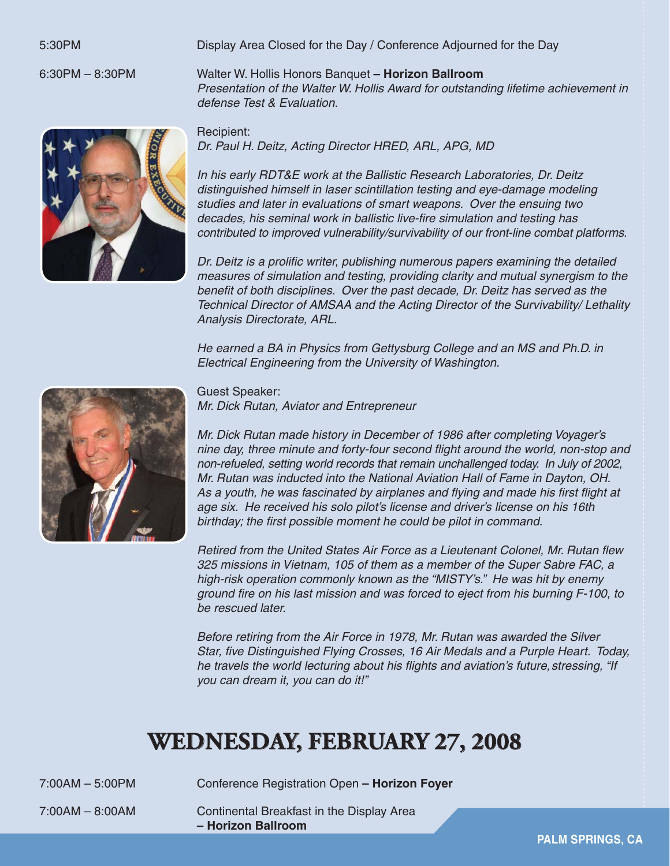5:30PM Display Area Closed for the Day / Conference Adjourned for the Day

6:30PM – 8:30PM Walter W. Hollis Honors Banquet **– Horizon Ballroom**  *Presentation of the Walter W. Hollis Award for outstanding lifetime achievement in defense Test & Evaluation.*

> Recipient: *Dr. Paul H. Deitz, Acting Director HRED, ARL, APG, MD*

 *In his early RDT&E work at the Ballistic Research Laboratories, Dr. Deitz distinguished himself in laser scintillation testing and eye-damage modeling studies and later in evaluations of smart weapons. Over the ensuing two* decades, his seminal work in ballistic live-fire simulation and testing has  *contributed to improved vulnerability/survivability of our front-line combat platforms.* 

*Dr. Deitz is a prolific writer, publishing numerous papers examining the detailed measures of simulation and testing, providing clarity and mutual synergism to the benefit of both disciplines. Over the past decade, Dr. Deitz has served as the Technical Director of AMSAA and the Acting Director of the Survivability/ Lethality Analysis Directorate, ARL.* 

 *He earned a BA in Physics from Gettysburg College and an MS and Ph.D. in Electrical Engineering from the University of Washington.*



Guest Speaker:

*Mr. Dick Rutan, Aviator and Entrepreneur*

 *Mr. Dick Rutan made history in December of 1986 after completing Voyager's nine day, three minute and forty-four second flight around the world, non-stop and non-refueled, setting world records that remain unchallenged today. In July of 2002, Mr. Rutan was inducted into the National Aviation Hall of Fame in Dayton, OH.* As a youth, he was fascinated by airplanes and flying and made his first flight at  *age six. He received his solo pilot's license and driver's license on his 16th* birthday; the first possible moment he could be pilot in command.

*Retired from the United States Air Force as a Lieutenant Colonel, Mr. Rutan flew 325 missions in Vietnam, 105 of them as a member of the Super Sabre FAC, a high-risk operation commonly known as the "MISTY's." He was hit by enemy ground fi re on his last mission and was forced to eject from his burning F-100, to be rescued later.*

 *Before retiring from the Air Force in 1978, Mr. Rutan was awarded the Silver Star, fi ve Distinguished Flying Crosses, 16 Air Medals and a Purple Heart. Today,*  he travels the world lecturing about his flights and aviation's future, stressing, "If  *you can dream it, you can do it!"*

# WEDNESDAY, FEBRUARY 27, 2008

7:00AM – 5:00PM Conference Registration Open **– Horizon Foyer**

7:00AM – 8:00AM Continental Breakfast in the Display Area **– Horizon Ballroom**

**PALM SPRINGS, CA**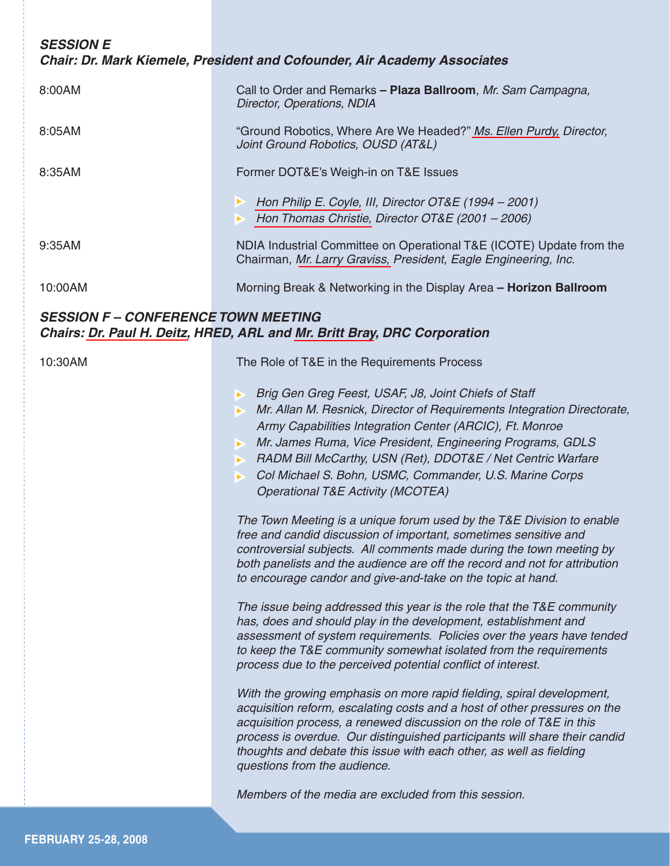*SESSION E Chair: Dr. Mark Kiemele, President and Cofounder, Air Academy Associates* 8:00AM Call to Order and Remarks **– Plaza Ballroom**, *Mr. Sam Campagna, Director, Operations, NDIA*  8:05AM "Ground Robotics, Where Are We Headed?" *[Ms. Ellen Purdy,](www.dtic.mil/ndia/2008test/WEDNESDAY/WedE/Purdy.pdf) Director, Joint Ground Robotics, OUSD (AT&L)*  8:35AM Former DOT&E's Weigh-in on T&E Issues <sup>X</sup> *[Hon Philip E. Coyle,](www.dtic.mil/ndia/2008test/WEDNESDAY/WedE/Coyle_Christie.pdf) III, Director OT&E (1994 – 2001)*  $\triangleright$  *[Hon Thomas Christie,](www.dtic.mil/ndia/2008test/WEDNESDAY/WedE/Coyle_Christie.pdf) Director OT&E (2001 – 2006)* 9:35AM NDIA Industrial Committee on Operational T&E (ICOTE) Update from the Chairman, *[Mr. Larry Graviss,](www.dtic.mil/ndia/2008test/WEDNESDAY/WedE/Graviss_McQueary.pdf) President, Eagle Engineering, Inc.*  10:00AM Morning Break & Networking in the Display Area **– Horizon Ballroom** *SESSION F – CONFERENCE TOWN MEETING Chairs: [Dr. Paul H. Deitz,](www.dtic.mil/ndia/2008test/WEDNESDAY/WedF/Deitz_Bray.pdf) HRED, ARL and [Mr. Britt Bray](www.dtic.mil/ndia/2008test/WEDNESDAY/WedF/Deitz_Bray.pdf), DRC Corporation* 

10:30AM The Role of T&E in the Requirements Process

- **Brig Gen Greg Feest, USAF, J8, Joint Chiefs of Staff**
- **X** Mr. Allan M. Resnick, Director of Requirements Integration Directorate,  *Army Capabilities Integration Center (ARCIC), Ft. Monroe*
- **X** Mr. James Ruma, Vice President, Engineering Programs, GDLS
- **EX BRADM Bill McCarthy, USN (Ret), DDOT&E / Net Centric Warfare**
- $\triangleright$  Col Michael S. Bohn, USMC, Commander, U.S. Marine Corps  *Operational T&E Activity (MCOTEA)*

 *The Town Meeting is a unique forum used by the T&E Division to enable free and candid discussion of important, sometimes sensitive and controversial subjects. All comments made during the town meeting by both panelists and the audience are off the record and not for attribution to encourage candor and give-and-take on the topic at hand.*

 *The issue being addressed this year is the role that the T&E community has, does and should play in the development, establishment and assessment of system requirements. Policies over the years have tended to keep the T&E community somewhat isolated from the requirements process due to the perceived potential confl ict of interest.* 

With the growing emphasis on more rapid fielding, spiral development,  *acquisition reform, escalating costs and a host of other pressures on the acquisition process, a renewed discussion on the role of T&E in this process is overdue. Our distinguished participants will share their candid thoughts and debate this issue with each other, as well as fielding questions from the audience.*

 *Members of the media are excluded from this session.*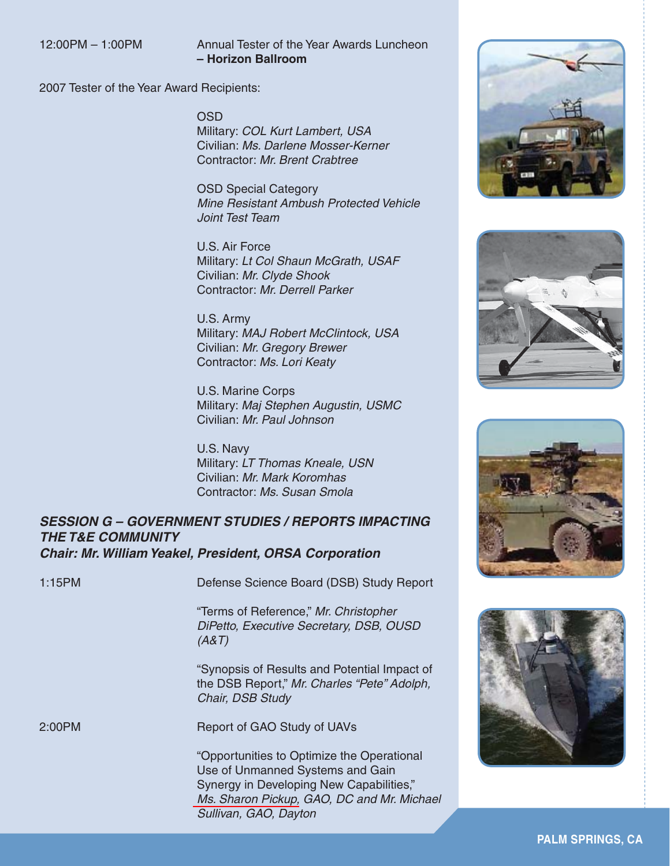#### 12:00PM – 1:00PM Annual Tester of the Year Awards Luncheon **– Horizon Ballroom**

2007 Tester of the Year Award Recipients:

OSD

 Military: *COL Kurt Lambert, USA* Civilian: *Ms. Darlene Mosser-Kerner* Contractor: *Mr. Brent Crabtree*

 OSD Special Category *Mine Resistant Ambush Protected Vehicle Joint Test Team*

 U.S. Air Force Military: *Lt Col Shaun McGrath, USAF* Civilian: *Mr. Clyde Shook* Contractor: *Mr. Derrell Parker*

 U.S. Army Military: *MAJ Robert McClintock, USA* Civilian: *Mr. Gregory Brewer* Contractor: *Ms. Lori Keaty*

 U.S. Marine Corps Military: *Maj Stephen Augustin, USMC* Civilian: *Mr. Paul Johnson*

 U.S. Navy Military: *LT Thomas Kneale, USN* Civilian: *Mr. Mark Koromhas* Contractor: *Ms. Susan Smola*

#### **SESSION G – GOVERNMENT STUDIES / REPORTS IMPACTING THE T&E COMMUNITY** *Chair: Mr. William Yeakel, President, ORSA Corporation hair:*

1:15PM Defense Science Board (DSB) Study Report

 "Terms of Reference," *Mr. Christopher DiPetto, Executive Secretary, DSB, OUSD (A&T)*

 "Synopsis of Results and Potential Impact of the DSB Report," *Mr. Charles "Pete" Adolph, Chair, DSB Study*

2:00PM Report of GAO Study of UAVs

 "Opportunities to Optimize the Operational Use of Unmanned Systems and Gain Synergy in Developing New Capabilities," *[Ms. Sharon Pickup,](www.dtic.mil/ndia/2008test/WEDNESDAY/WedG/Pickup.pdf) GAO, DC and Mr. Michael Sullivan, GAO, Dayton*







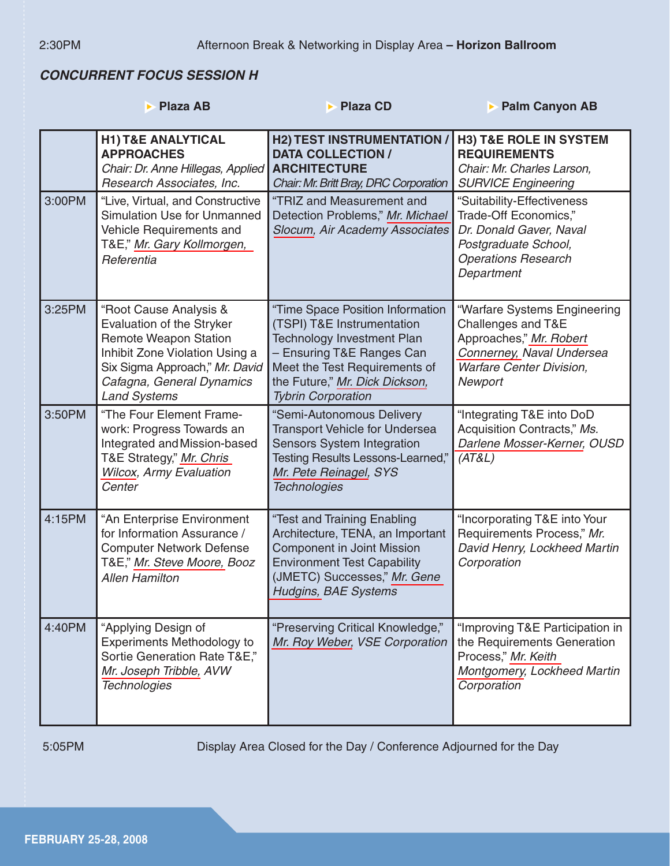## **CONCURRENT FOCUS SESSION H**

|        | <b>Plaza AB</b><br>ь                                                                                                                                                                                        | <b>Plaza CD</b>                                                                                                                                                                                                                  | <b>Palm Canyon AB</b><br>Б                                                                                                                               |
|--------|-------------------------------------------------------------------------------------------------------------------------------------------------------------------------------------------------------------|----------------------------------------------------------------------------------------------------------------------------------------------------------------------------------------------------------------------------------|----------------------------------------------------------------------------------------------------------------------------------------------------------|
|        | <b>H1) T&amp;E ANALYTICAL</b><br><b>APPROACHES</b><br>Chair: Dr. Anne Hillegas, Applied<br>Research Associates, Inc.                                                                                        | <b>H2) TEST INSTRUMENTATION</b><br><b>DATA COLLECTION /</b><br><b>ARCHITECTURE</b><br>Chair: Mr. Britt Bray, DRC Corporation                                                                                                     | <b>H3) T&amp;E ROLE IN SYSTEM</b><br><b>REQUIREMENTS</b><br>Chair: Mr. Charles Larson,<br><b>SURVICE Engineering</b>                                     |
| 3:00PM | "Live, Virtual, and Constructive<br><b>Simulation Use for Unmanned</b><br>Vehicle Requirements and<br>T&E," Mr. Gary Kollmorgen,<br>Referentia                                                              | "TRIZ and Measurement and<br>Detection Problems," Mr. Michael<br>Slocum, Air Academy Associates                                                                                                                                  | "Suitability-Effectiveness<br>Trade-Off Economics,"<br>Dr. Donald Gaver, Naval<br>Postgraduate School,<br><b>Operations Research</b><br>Department       |
| 3:25PM | "Root Cause Analysis &<br>Evaluation of the Stryker<br><b>Remote Weapon Station</b><br>Inhibit Zone Violation Using a<br>Six Sigma Approach," Mr. David<br>Cafagna, General Dynamics<br><b>Land Systems</b> | "Time Space Position Information<br>(TSPI) T&E Instrumentation<br><b>Technology Investment Plan</b><br>- Ensuring T&E Ranges Can<br>Meet the Test Requirements of<br>the Future," Mr. Dick Dickson,<br><b>Tybrin Corporation</b> | "Warfare Systems Engineering<br>Challenges and T&E<br>Approaches," Mr. Robert<br>Connerney, Naval Undersea<br><b>Warfare Center Division,</b><br>Newport |
| 3:50PM | "The Four Element Frame-<br>work: Progress Towards an<br>Integrated and Mission-based<br>T&E Strategy," Mr. Chris<br><b>Wilcox, Army Evaluation</b><br>Center                                               | "Semi-Autonomous Delivery<br><b>Transport Vehicle for Undersea</b><br><b>Sensors System Integration</b><br>Testing Results Lessons-Learned,"<br>Mr. Pete Reinagel, SYS<br><b>Technologies</b>                                    | "Integrating T&E into DoD<br>Acquisition Contracts," Ms.<br>Darlene Mosser-Kerner, OUSD<br>(AT&L)                                                        |
| 4:15PM | "An Enterprise Environment<br>for Information Assurance /<br><b>Computer Network Defense</b><br>T&E," Mr. Steve Moore, Booz<br><b>Allen Hamilton</b>                                                        | "Test and Training Enabling<br>Architecture, TENA, an Important<br><b>Component in Joint Mission</b><br><b>Environment Test Capability</b><br>(JMETC) Successes," Mr. Gene<br><b>Hudgins, BAE Systems</b>                        | "Incorporating T&E into Your<br>Requirements Process," Mr.<br>David Henry, Lockheed Martin<br>Corporation                                                |
| 4:40PM | "Applying Design of<br><b>Experiments Methodology to</b><br>Sortie Generation Rate T&E,"<br>Mr. Joseph Tribble, AVW<br><b>Technologies</b>                                                                  | "Preserving Critical Knowledge,"<br>Mr. Roy Weber, VSE Corporation                                                                                                                                                               | "Improving T&E Participation in<br>the Requirements Generation<br>Process," Mr. Keith<br>Montgomery, Lockheed Martin<br>Corporation                      |

5:05PM Display Area Closed for the Day / Conference Adjourned for the Day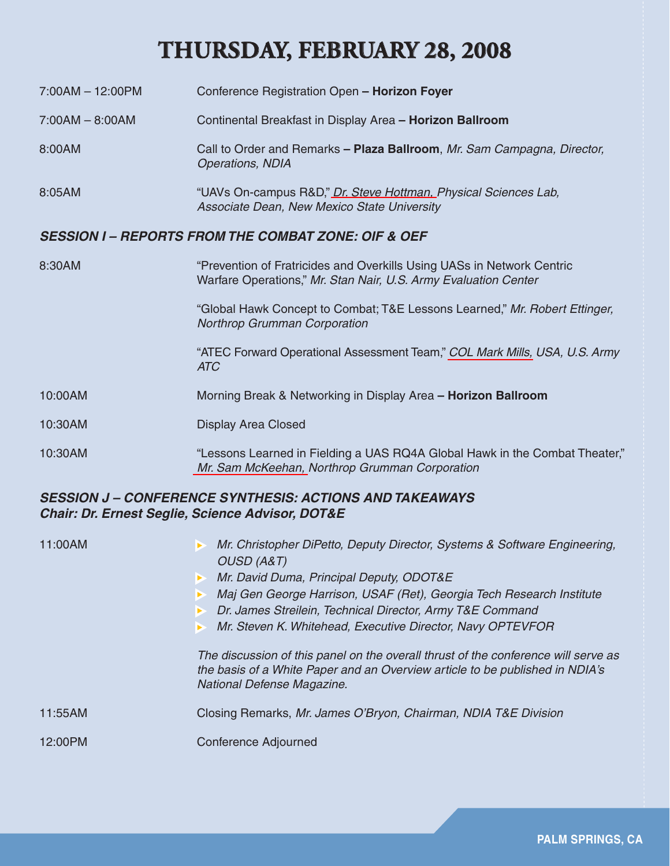# **THURSDAY, FEBRUARY 28, 2008**

- 7:00AM 12:00PM Conference Registration Open  **Horizon Foyer** 7:00AM – 8:00AM Continental Breakfast in Display Area **– Horizon Ballroom** 8:00AM Call to Order and Remarks **– Plaza Ballroom**, *Mr. Sam Campagna, Director, Operations, NDIA* 8:05AM "UAVs On-campus R&D," *[Dr. Steve Hottman, P](www.dtic.mil/ndia/2008test/THURSDAY/Hottman.pdf)hysical Sciences Lab, Associate Dean, New Mexico State University SESSION I – REPORTS FROM THE COMBAT ZONE: OIF & OEF ESSION*
- 8:30AM "Prevention of Fratricides and Overkills Using UASs in Network Centric Warfare Operations," *Mr. Stan Nair, U.S. Army Evaluation Center*  "Global Hawk Concept to Combat; T&E Lessons Learned," *Mr. Robert Ettinger, Northrop Grumman Corporation* "ATEC Forward Operational Assessment Team," *[COL Mark Mills,](www.dtic.mil/ndia/2008test/THURSDAY/ThurI/Mills.pdf) USA, U.S. Army ATC* 10:00AM Morning Break & Networking in Display Area **– Horizon Ballroom** 10:30AM Display Area Closed 10:30AM "Lessons Learned in Fielding a UAS RQ4A Global Hawk in the Combat Theater,"

*[Mr. Sam McKeehan,](www.dtic.mil/ndia/2008test/THURSDAY/ThurI/McKeehan.pdf) Northrop Grumman Corporation*

#### *SESSION J – CONFERENCE SYNTHESIS: ACTIONS AND TAKEAWAYS ESSION Chair: Dr. Ernest Seglie, Science Advisor, DOT&E hair:*

| Mr. Christopher DiPetto, Deputy Director, Systems & Software Engineering,<br>11:00AM<br><b>OUSD (A&amp;T)</b><br>Mr. David Duma, Principal Deputy, ODOT&E<br>Maj Gen George Harrison, USAF (Ret), Georgia Tech Research Institute<br>Dr. James Streilein, Technical Director, Army T&E Command<br>Mr. Steven K. Whitehead, Executive Director, Navy OPTEVFOR |                                                                                                                                                                                                  |
|--------------------------------------------------------------------------------------------------------------------------------------------------------------------------------------------------------------------------------------------------------------------------------------------------------------------------------------------------------------|--------------------------------------------------------------------------------------------------------------------------------------------------------------------------------------------------|
|                                                                                                                                                                                                                                                                                                                                                              | The discussion of this panel on the overall thrust of the conference will serve as<br>the basis of a White Paper and an Overview article to be published in NDIA's<br>National Defense Magazine. |
| 11:55AM                                                                                                                                                                                                                                                                                                                                                      | Closing Remarks, Mr. James O'Bryon, Chairman, NDIA T&E Division                                                                                                                                  |
| 12:00PM                                                                                                                                                                                                                                                                                                                                                      | Conference Adjourned                                                                                                                                                                             |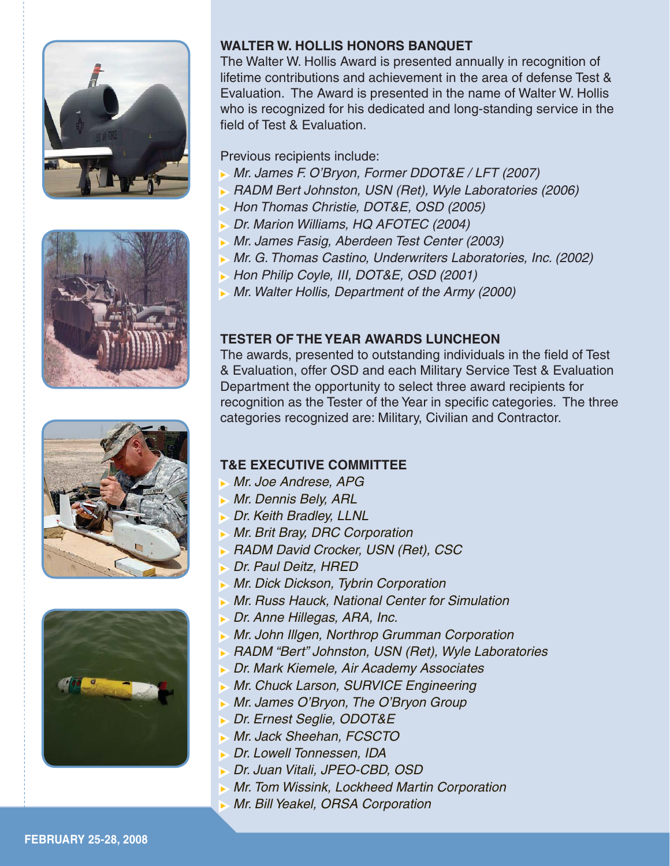







#### **WALTER W. HOLLIS HONORS BANQUET**

The Walter W. Hollis Award is presented annually in recognition of lifetime contributions and achievement in the area of defense Test & Evaluation. The Award is presented in the name of Walter W. Hollis who is recognized for his dedicated and long-standing service in the field of Test & Evaluation.

Previous recipients include:

- <sup>X</sup>*Mr. James F. O'Bryon, Former DDOT&E / LFT (2007)*
- <sup>X</sup>*RADM Bert Johnston, USN (Ret), Wyle Laboratories (2006)*
- <sup>X</sup> *Hon Thomas Christie, DOT&E, OSD (2005)*
- <sup>X</sup>*Dr. Marion Williams, HQ AFOTEC (2004)*
- <sup>X</sup>*Mr. James Fasig, Aberdeen Test Center (2003)*
- <sup>X</sup>*Mr. G. Thomas Castino, Underwriters Laboratories, Inc. (2002)*
- <sup>X</sup>*Hon Philip Coyle, III, DOT&E, OSD (2001)*
- **Mr. Walter Hollis, Department of the Army (2000)**

### **TESTER OF THE YEAR AWARDS LUNCHEON**

The awards, presented to outstanding individuals in the field of Test & Evaluation, offer OSD and each Military Service Test & Evaluation Department the opportunity to select three award recipients for recognition as the Tester of the Year in specific categories. The three categories recognized are: Military, Civilian and Contractor.

### **T&E EXECUTIVE COMMITTEE**

- <sup>X</sup>*Mr. Joe Andrese, APG*
- <sup>X</sup>*Mr. Dennis Bely, ARL*
- <sup>X</sup>*Dr. Keith Bradley, LLNL*
- <sup>X</sup>*Mr. Brit Bray, DRC Corporation*
- <sup>X</sup>*RADM David Crocker, USN (Ret), CSC*
- <sup>X</sup>*Dr. Paul Deitz, HRED*
- <sup>X</sup>*Mr. Dick Dickson, Tybrin Corporation*
- <sup>X</sup>*Mr. Russ Hauck, National Center for Simulation*
- <sup>X</sup>*Dr. Anne Hillegas, ARA, Inc.*
- **Mr. John Illgen, Northrop Grumman Corporation**
- <sup>X</sup>*RADM "Bert" Johnston, USN (Ret), Wyle Laboratories*
- <sup>X</sup> *Dr. Mark Kiemele, Air Academy Associates*
- **Mr. Chuck Larson, SURVICE Engineering**
- <sup>X</sup>*Mr. James O'Bryon, The O'Bryon Group*
- <sup>X</sup>*Dr. Ernest Seglie, ODOT&E*
- <sup>X</sup>*Mr. Jack Sheehan, FCSCTO*
- <sup>X</sup>*Dr. Lowell Tonnessen, IDA*
- <sup>X</sup>*Dr. Juan Vitali, JPEO-CBD, OSD*
- <sup>X</sup>*Mr. Tom Wissink, Lockheed Martin Corporation*
- <sup>X</sup>*Mr. Bill Yeakel, ORSA Corporation*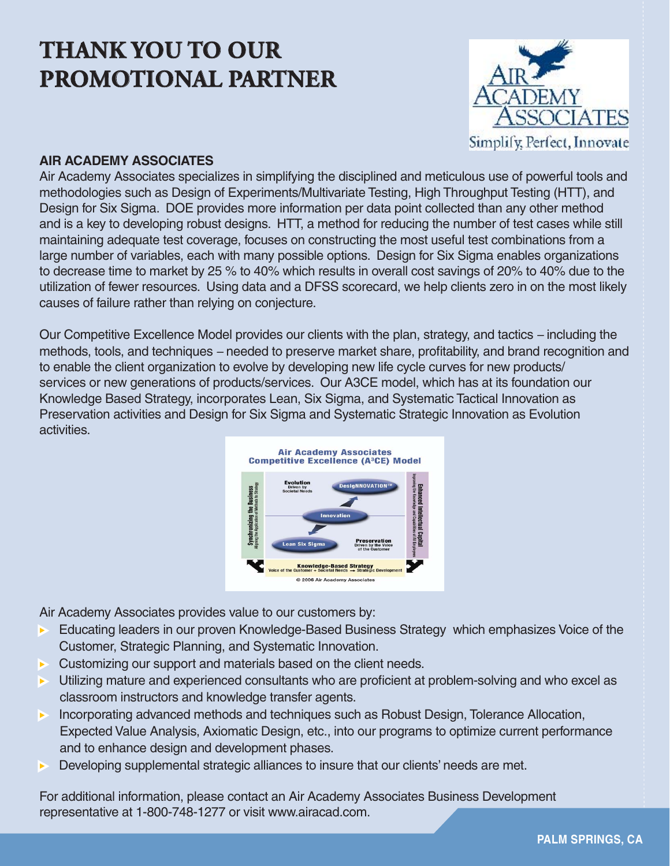# **THANK YOU TO OUR PROMOTIONAL PARTNER**



#### **AIR ACADEMY ASSOCIATES**

Air Academy Associates specializes in simplifying the disciplined and meticulous use of powerful tools and methodologies such as Design of Experiments/Multivariate Testing, High Throughput Testing (HTT), and Design for Six Sigma. DOE provides more information per data point collected than any other method and is a key to developing robust designs. HTT, a method for reducing the number of test cases while still maintaining adequate test coverage, focuses on constructing the most useful test combinations from a large number of variables, each with many possible options. Design for Six Sigma enables organizations to decrease time to market by 25 % to 40% which results in overall cost savings of 20% to 40% due to the utilization of fewer resources. Using data and a DFSS scorecard, we help clients zero in on the most likely causes of failure rather than relying on conjecture.

Our Competitive Excellence Model provides our clients with the plan, strategy, and tactics *–* including the methods, tools, and techniques – needed to preserve market share, profitability, and brand recognition and to enable the client organization to evolve by developing new life cycle curves for new products/ services or new generations of products/services. Our A3CE model, which has at its foundation our Knowledge Based Strategy, incorporates Lean, Six Sigma, and Systematic Tactical Innovation as Preservation activities and Design for Six Sigma and Systematic Strategic Innovation as Evolution activities.



Air Academy Associates provides value to our customers by:

- Educating leaders in our proven Knowledge-Based Business Strategy which emphasizes Voice of the Customer, Strategic Planning, and Systematic Innovation.
- $\triangleright$  Customizing our support and materials based on the client needs.
- Utilizing mature and experienced consultants who are proficient at problem-solving and who excel as classroom instructors and knowledge transfer agents.
- Incorporating advanced methods and techniques such as Robust Design, Tolerance Allocation, Expected Value Analysis, Axiomatic Design, etc., into our programs to optimize current performance and to enhance design and development phases.
- Developing supplemental strategic alliances to insure that our clients' needs are met.

For additional information, please contact an Air Academy Associates Business Development representative at 1-800-748-1277 or visit www.airacad.com.